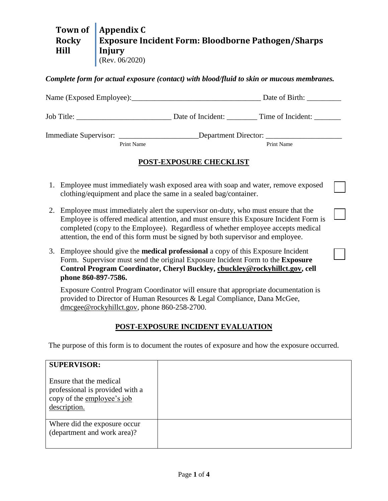#### **Town of Rocky Hill Appendix C Exposure Incident Form: Bloodborne Pathogen/Sharps Injury** (Rev. 06/2020)

## *Complete form for actual exposure (contact) with blood/fluid to skin or mucous membranes.*

|            | Date of Birth: ______________                                                                        |
|------------|------------------------------------------------------------------------------------------------------|
|            |                                                                                                      |
|            | Immediate Supervisor: ___________________________Department Director: ______________________________ |
| Print Name | Print Name                                                                                           |
|            | <b>POST-EXPOSURE CHECKLIST</b>                                                                       |

- 1. Employee must immediately wash exposed area with soap and water, remove exposed clothing/equipment and place the same in a sealed bag/container.
- 2. Employee must immediately alert the supervisor on-duty, who must ensure that the Employee is offered medical attention, and must ensure this Exposure Incident Form is completed (copy to the Employee). Regardless of whether employee accepts medical attention, the end of this form must be signed by both supervisor and employee.
- 3. Employee should give the **medical professional** a copy of this Exposure Incident Form. Supervisor must send the original Exposure Incident Form to the **Exposure Control Program Coordinator, Cheryl Buckley, [cbuckley@rockyhillct.gov,](mailto:cbuckley@rockyhillct.gov) cell phone 860-897-7586.**

Exposure Control Program Coordinator will ensure that appropriate documentation is provided to Director of Human Resources & Legal Compliance, Dana McGee, [dmcgee@rockyhillct.gov,](mailto:dmcgee@rockyhillct.gov) phone 860-258-2700.

# **POST-EXPOSURE INCIDENT EVALUATION**

The purpose of this form is to document the routes of exposure and how the exposure occurred.

| <b>SUPERVISOR:</b><br>Ensure that the medical<br>professional is provided with a<br>copy of the employee's job<br>description. |  |
|--------------------------------------------------------------------------------------------------------------------------------|--|
| Where did the exposure occur<br>(department and work area)?                                                                    |  |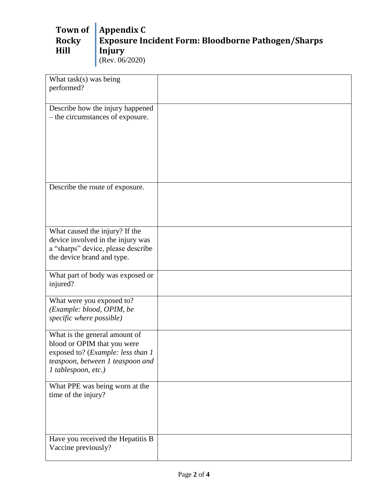### **Town of Rocky Hill Appendix C Exposure Incident Form: Bloodborne Pathogen/Sharps Injury** (Rev. 06/2020)

| What task(s) was being                                                |  |
|-----------------------------------------------------------------------|--|
| performed?                                                            |  |
|                                                                       |  |
| Describe how the injury happened                                      |  |
| - the circumstances of exposure.                                      |  |
|                                                                       |  |
|                                                                       |  |
|                                                                       |  |
|                                                                       |  |
|                                                                       |  |
|                                                                       |  |
|                                                                       |  |
| Describe the route of exposure.                                       |  |
|                                                                       |  |
|                                                                       |  |
|                                                                       |  |
|                                                                       |  |
| What caused the injury? If the                                        |  |
| device involved in the injury was                                     |  |
| a "sharps" device, please describe                                    |  |
| the device brand and type.                                            |  |
| What part of body was exposed or                                      |  |
| injured?                                                              |  |
|                                                                       |  |
| What were you exposed to?                                             |  |
| (Example: blood, OPIM, be                                             |  |
| specific where possible)                                              |  |
|                                                                       |  |
| What is the general amount of                                         |  |
| blood or OPIM that you were                                           |  |
| exposed to? (Example: less than 1<br>teaspoon, between 1 teaspoon and |  |
| 1 tablespoon, etc.)                                                   |  |
|                                                                       |  |
| What PPE was being worn at the                                        |  |
| time of the injury?                                                   |  |
|                                                                       |  |
|                                                                       |  |
|                                                                       |  |
|                                                                       |  |
| Have you received the Hepatitis B                                     |  |
| Vaccine previously?                                                   |  |
|                                                                       |  |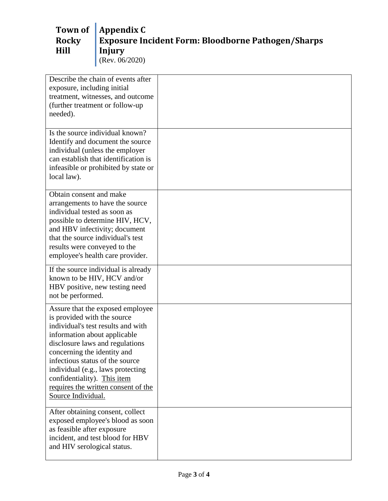### **Town of Rocky Hill Appendix C Exposure Incident Form: Bloodborne Pathogen/Sharps Injury** (Rev. 06/2020)

| Describe the chain of events after<br>exposure, including initial<br>treatment, witnesses, and outcome<br>(further treatment or follow-up<br>needed).                                                                                                                                                                                                                       |  |
|-----------------------------------------------------------------------------------------------------------------------------------------------------------------------------------------------------------------------------------------------------------------------------------------------------------------------------------------------------------------------------|--|
| Is the source individual known?<br>Identify and document the source<br>individual (unless the employer<br>can establish that identification is<br>infeasible or prohibited by state or<br>local law).                                                                                                                                                                       |  |
| Obtain consent and make<br>arrangements to have the source<br>individual tested as soon as<br>possible to determine HIV, HCV,<br>and HBV infectivity; document<br>that the source individual's test<br>results were conveyed to the<br>employee's health care provider.                                                                                                     |  |
| If the source individual is already<br>known to be HIV, HCV and/or<br>HBV positive, new testing need<br>not be performed.                                                                                                                                                                                                                                                   |  |
| Assure that the exposed employee<br>is provided with the source<br>individual's test results and with<br>information about applicable<br>disclosure laws and regulations<br>concerning the identity and<br>infectious status of the source<br>individual (e.g., laws protecting<br>confidentiality). This item<br>requires the written consent of the<br>Source Individual. |  |
| After obtaining consent, collect<br>exposed employee's blood as soon<br>as feasible after exposure<br>incident, and test blood for HBV<br>and HIV serological status.                                                                                                                                                                                                       |  |